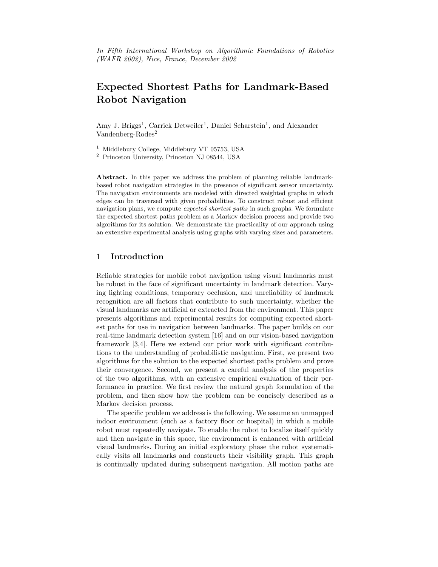*In Fifth International Workshop on Algorithmic Foundations of Robotics (WAFR 2002), Nice, France, December 2002*

# **Expected Shortest Paths for Landmark-Based Robot Navigation**

Amy J. Briggs<sup>1</sup>, Carrick Detweiler<sup>1</sup>, Daniel Scharstein<sup>1</sup>, and Alexander Vandenberg-Rodes<sup>2</sup>

<sup>1</sup> Middlebury College, Middlebury VT 05753, USA

<sup>2</sup> Princeton University, Princeton NJ 08544, USA

**Abstract.** In this paper we address the problem of planning reliable landmarkbased robot navigation strategies in the presence of significant sensor uncertainty. The navigation environments are modeled with directed weighted graphs in which edges can be traversed with given probabilities. To construct robust and efficient navigation plans, we compute *expected shortest paths* in such graphs. We formulate the expected shortest paths problem as a Markov decision process and provide two algorithms for its solution. We demonstrate the practicality of our approach using an extensive experimental analysis using graphs with varying sizes and parameters.

# **1 Introduction**

Reliable strategies for mobile robot navigation using visual landmarks must be robust in the face of significant uncertainty in landmark detection. Varying lighting conditions, temporary occlusion, and unreliability of landmark recognition are all factors that contribute to such uncertainty, whether the visual landmarks are artificial or extracted from the environment. This paper presents algorithms and experimental results for computing expected shortest paths for use in navigation between landmarks. The paper builds on our real-time landmark detection system [16] and on our vision-based navigation framework [3,4]. Here we extend our prior work with significant contributions to the understanding of probabilistic navigation. First, we present two algorithms for the solution to the expected shortest paths problem and prove their convergence. Second, we present a careful analysis of the properties of the two algorithms, with an extensive empirical evaluation of their performance in practice. We first review the natural graph formulation of the problem, and then show how the problem can be concisely described as a Markov decision process.

The specific problem we address is the following. We assume an unmapped indoor environment (such as a factory floor or hospital) in which a mobile robot must repeatedly navigate. To enable the robot to localize itself quickly and then navigate in this space, the environment is enhanced with artificial visual landmarks. During an initial exploratory phase the robot systematically visits all landmarks and constructs their visibility graph. This graph is continually updated during subsequent navigation. All motion paths are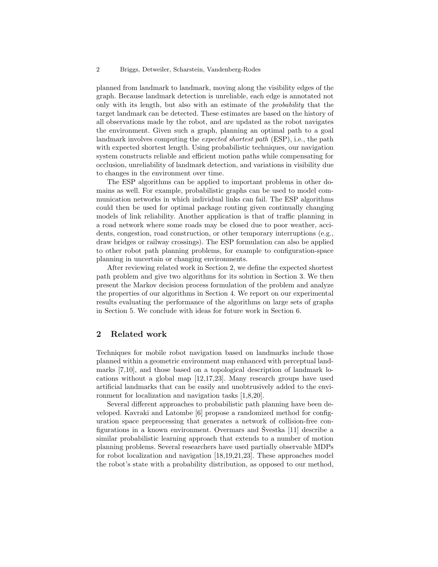planned from landmark to landmark, moving along the visibility edges of the graph. Because landmark detection is unreliable, each edge is annotated not only with its length, but also with an estimate of the *probability* that the target landmark can be detected. These estimates are based on the history of all observations made by the robot, and are updated as the robot navigates the environment. Given such a graph, planning an optimal path to a goal landmark involves computing the *expected shortest path* (ESP), i.e., the path with expected shortest length. Using probabilistic techniques, our navigation system constructs reliable and efficient motion paths while compensating for occlusion, unreliability of landmark detection, and variations in visibility due to changes in the environment over time.

The ESP algorithms can be applied to important problems in other domains as well. For example, probabilistic graphs can be used to model communication networks in which individual links can fail. The ESP algorithms could then be used for optimal package routing given continually changing models of link reliability. Another application is that of traffic planning in a road network where some roads may be closed due to poor weather, accidents, congestion, road construction, or other temporary interruptions (e.g., draw bridges or railway crossings). The ESP formulation can also be applied to other robot path planning problems, for example to configuration-space planning in uncertain or changing environments.

After reviewing related work in Section 2, we define the expected shortest path problem and give two algorithms for its solution in Section 3. We then present the Markov decision process formulation of the problem and analyze the properties of our algorithms in Section 4. We report on our experimental results evaluating the performance of the algorithms on large sets of graphs in Section 5. We conclude with ideas for future work in Section 6.

### **2 Related work**

Techniques for mobile robot navigation based on landmarks include those planned within a geometric environment map enhanced with perceptual landmarks [7,10], and those based on a topological description of landmark locations without a global map [12,17,23]. Many research groups have used artificial landmarks that can be easily and unobtrusively added to the environment for localization and navigation tasks [1,8,20].

Several different approaches to probabilistic path planning have been developed. Kavraki and Latombe [6] propose a randomized method for configuration space preprocessing that generates a network of collision-free configurations in a known environment. Overmars and Svestka  $[11]$  describe a similar probabilistic learning approach that extends to a number of motion planning problems. Several researchers have used partially observable MDPs for robot localization and navigation [18,19,21,23]. These approaches model the robot's state with a probability distribution, as opposed to our method,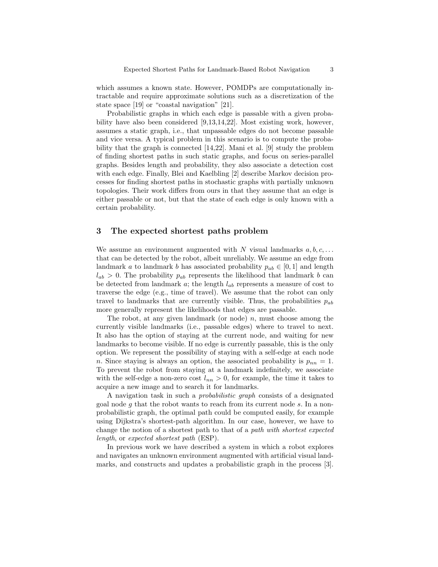which assumes a known state. However, POMDPs are computationally intractable and require approximate solutions such as a discretization of the state space [19] or "coastal navigation" [21].

Probabilistic graphs in which each edge is passable with a given probability have also been considered [9,13,14,22]. Most existing work, however, assumes a static graph, i.e., that unpassable edges do not become passable and vice versa. A typical problem in this scenario is to compute the probability that the graph is connected [14,22]. Mani et al. [9] study the problem of finding shortest paths in such static graphs, and focus on series-parallel graphs. Besides length and probability, they also associate a detection cost with each edge. Finally, Blei and Kaelbling [2] describe Markov decision processes for finding shortest paths in stochastic graphs with partially unknown topologies. Their work differs from ours in that they assume that an edge is either passable or not, but that the state of each edge is only known with a certain probability.

## **3 The expected shortest paths problem**

We assume an environment augmented with N visual landmarks  $a, b, c, \ldots$ that can be detected by the robot, albeit unreliably. We assume an edge from landmark a to landmark b has associated probability  $p_{ab} \in [0, 1]$  and length  $l_{ab} > 0$ . The probability  $p_{ab}$  represents the likelihood that landmark b can be detected from landmark a; the length  $l_{ab}$  represents a measure of cost to traverse the edge (e.g., time of travel). We assume that the robot can only travel to landmarks that are currently visible. Thus, the probabilities  $p_{ab}$ more generally represent the likelihoods that edges are passable.

The robot, at any given landmark (or node)  $n$ , must choose among the currently visible landmarks (i.e., passable edges) where to travel to next. It also has the option of staying at the current node, and waiting for new landmarks to become visible. If no edge is currently passable, this is the only option. We represent the possibility of staying with a self-edge at each node n. Since staying is always an option, the associated probability is  $p_{nn} = 1$ . To prevent the robot from staying at a landmark indefinitely, we associate with the self-edge a non-zero cost  $l_{nn} > 0$ , for example, the time it takes to acquire a new image and to search it for landmarks.

A navigation task in such a *probabilistic graph* consists of a designated goal node q that the robot wants to reach from its current node  $s$ . In a nonprobabilistic graph, the optimal path could be computed easily, for example using Dijkstra's shortest-path algorithm. In our case, however, we have to change the notion of a shortest path to that of a *path with shortest expected length*, or *expected shortest path* (ESP).

In previous work we have described a system in which a robot explores and navigates an unknown environment augmented with artificial visual landmarks, and constructs and updates a probabilistic graph in the process [3].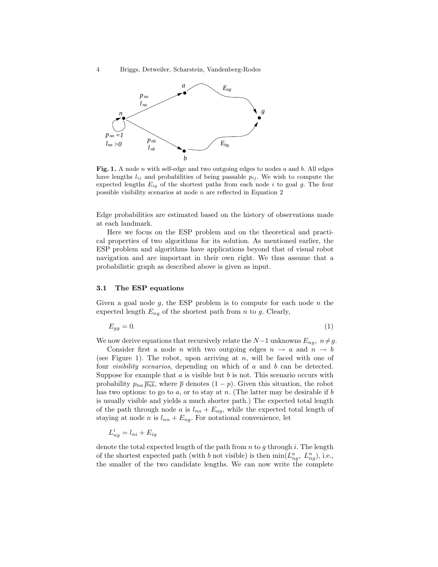

**Fig. 1.** A node *n* with self-edge and two outgoing edges to nodes *a* and *b*. All edges have lengths  $l_{ij}$  and probabilities of being passable  $p_{ij}$ . We wish to compute the expected lengths  $E_{ig}$  of the shortest paths from each node *i* to goal *g*. The four possible visibility scenarios at node *n* are reflected in Equation 2

Edge probabilities are estimated based on the history of observations made at each landmark.

Here we focus on the ESP problem and on the theoretical and practical properties of two algorithms for its solution. As mentioned earlier, the ESP problem and algorithms have applications beyond that of visual robot navigation and are important in their own right. We thus assume that a probabilistic graph as described above is given as input.

### **3.1 The ESP equations**

Given a goal node  $g$ , the ESP problem is to compute for each node  $n$  the expected length  $E_{ng}$  of the shortest path from n to g. Clearly,

$$
E_{gg} = 0.\tag{1}
$$

We now derive equations that recursively relate the  $N-1$  unknowns  $E_{na}$ ,  $n \neq g$ .

Consider first a node *n* with two outgoing edges  $n \to a$  and  $n \to b$ (see Figure 1). The robot, upon arriving at  $n$ , will be faced with one of four *visibility scenarios*, depending on which of a and b can be detected. Suppose for example that  $a$  is visible but  $b$  is not. This scenario occurs with probability  $p_{na} \overline{p_{nb}}$ , where  $\overline{p}$  denotes  $(1 - p)$ . Given this situation, the robot has two options: to go to a, or to stay at n. (The latter may be desirable if b is usually visible and yields a much shorter path.) The expected total length of the path through node a is  $l_{na} + E_{ag}$ , while the expected total length of staying at node *n* is  $l_{nn} + E_{ng}$ . For notational convenience, let

$$
L_{ng}^i = l_{ni} + E_{ig}
$$

denote the total expected length of the path from  $n$  to  $g$  through  $i$ . The length of the shortest expected path (with b not visible) is then  $\min(L_{ng}^a, L_{ng}^n)$ , i.e., the smaller of the two candidate lengths. We can now write the complete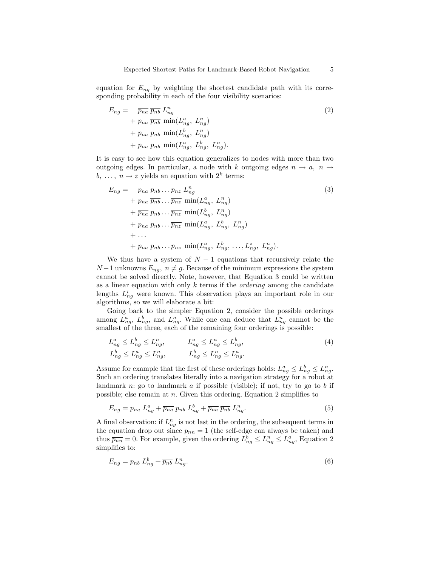equation for  $E_{ng}$  by weighting the shortest candidate path with its corresponding probability in each of the four visibility scenarios:

$$
E_{ng} = \overline{p_{na}} \overline{p_{nb}} L_{ng}^n
$$
  
+  $p_{na} \overline{p_{nb}} \min(L_{ng}^a, L_{ng}^n)$   
+  $\overline{p_{na}} p_{nb} \min(L_{ng}^b, L_{ng}^n)$   
+  $p_{na} p_{nb} \min(L_{ng}^a, L_{ng}^b, L_{ng}^n).$  (2)

It is easy to see how this equation generalizes to nodes with more than two outgoing edges. In particular, a node with k outgoing edges  $n \to a$ ,  $n \to a$  $b, \ldots, n \rightarrow z$  yields an equation with  $2^k$  terms:

$$
E_{ng} = \overline{p_{na}} \overline{p_{nb}} \dots \overline{p_{nz}} L_{ng}^n
$$
  
+  $p_{na} \overline{p_{nb}} \dots \overline{p_{nz}} \min(L_{ng}^a, L_{ng}^n)$   
+  $\overline{p_{na}} p_{nb} \dots \overline{p_{nz}} \min(L_{ng}^b, L_{ng}^n)$   
+  $p_{na} p_{nb} \dots \overline{p_{nz}} \min(L_{ng}^a, L_{ng}^b, L_{ng}^n)$   
+ ...  
+  $p_{na} p_{nb} \dots p_{nz} \min(L_{ng}^a, L_{ng}^b, \dots, L_{ng}^z, L_{ng}^n).$  (3)

We thus have a system of  $N-1$  equations that recursively relate the  $N-1$  unknowns  $E_{n,q}, n \neq g$ . Because of the minimum expressions the system cannot be solved directly. Note, however, that Equation 3 could be written as a linear equation with only k terms if the *ordering* among the candidate lengths  $L_{ng}^i$  were known. This observation plays an important role in our algorithms, so we will elaborate a bit:

Going back to the simpler Equation 2, consider the possible orderings among  $L_{ng}^a$ ,  $L_{ng}^b$ , and  $L_{ng}^n$ . While one can deduce that  $L_{ng}^n$  cannot be the smallest of the three, each of the remaining four orderings is possible:

$$
L_{ng}^a \le L_{ng}^b \le L_{ng}^n, \qquad L_{ng}^a \le L_{ng}^n \le L_{ng}^b,
$$
  
\n
$$
L_{ng}^b \le L_{ng}^a \le L_{ng}^n, \qquad L_{ng}^b \le L_{ng}^n \le L_{ng}^a.
$$
  
\n(4)

Assume for example that the first of these orderings holds:  $L_{ng}^a \leq L_{ng}^b \leq L_{ng}^n$ . Such an ordering translates literally into a navigation strategy for a robot at landmark  $n:$  go to landmark  $a$  if possible (visible); if not, try to go to  $b$  if possible; else remain at  $n$ . Given this ordering, Equation 2 simplifies to

$$
E_{ng} = p_{na} L_{ng}^a + \overline{p_{na}} p_{nb} L_{ng}^b + \overline{p_{na}} \overline{p_{nb}} L_{ng}^n.
$$
 (5)

A final observation: if  $L_{ng}^n$  is not last in the ordering, the subsequent terms in the equation drop out since  $p_{nn} = 1$  (the self-edge can always be taken) and thus  $\overline{p_{nn}} = 0$ . For example, given the ordering  $L_{ng}^b \le L_{ng}^n \le L_{ng}^a$ , Equation 2 simplifies to:

$$
E_{ng} = p_{nb} L_{ng}^b + \overline{p_{nb}} L_{ng}^n.
$$
\n
$$
(6)
$$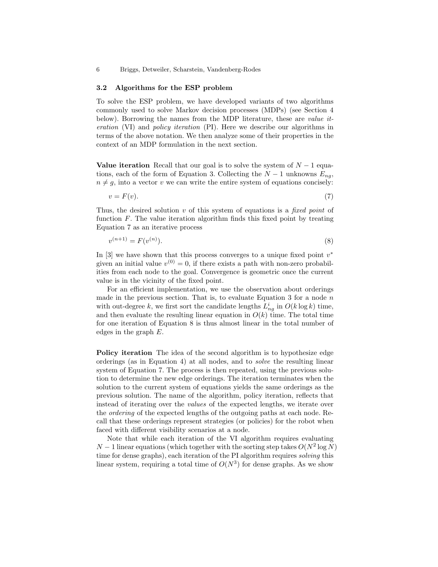### **3.2 Algorithms for the ESP problem**

To solve the ESP problem, we have developed variants of two algorithms commonly used to solve Markov decision processes (MDPs) (see Section 4 below). Borrowing the names from the MDP literature, these are *value iteration* (VI) and *policy iteration* (PI). Here we describe our algorithms in terms of the above notation. We then analyze some of their properties in the context of an MDP formulation in the next section.

**Value iteration** Recall that our goal is to solve the system of  $N - 1$  equations, each of the form of Equation 3. Collecting the  $N-1$  unknowns  $E_{na}$ ,  $n \neq g$ , into a vector v we can write the entire system of equations concisely:

$$
v = F(v). \tag{7}
$$

Thus, the desired solution v of this system of equations is a *fixed point* of function  $F$ . The value iteration algorithm finds this fixed point by treating Equation 7 as an iterative process

$$
v^{(n+1)} = F(v^{(n)}).
$$
\n(8)

In [3] we have shown that this process converges to a unique fixed point  $v^*$ given an initial value  $v^{(0)} = 0$ , if there exists a path with non-zero probabilities from each node to the goal. Convergence is geometric once the current value is in the vicinity of the fixed point.

For an efficient implementation, we use the observation about orderings made in the previous section. That is, to evaluate Equation 3 for a node  $n$ with out-degree k, we first sort the candidate lengths  $L_{ng}^i$  in  $O(k \log k)$  time, and then evaluate the resulting linear equation in  $O(k)$  time. The total time for one iteration of Equation 8 is thus almost linear in the total number of edges in the graph E.

**Policy iteration** The idea of the second algorithm is to hypothesize edge orderings (as in Equation 4) at all nodes, and to *solve* the resulting linear system of Equation 7. The process is then repeated, using the previous solution to determine the new edge orderings. The iteration terminates when the solution to the current system of equations yields the same orderings as the previous solution. The name of the algorithm, policy iteration, reflects that instead of iterating over the *values* of the expected lengths, we iterate over the *ordering* of the expected lengths of the outgoing paths at each node. Recall that these orderings represent strategies (or policies) for the robot when faced with different visibility scenarios at a node.

Note that while each iteration of the VI algorithm requires evaluating  $N-1$  linear equations (which together with the sorting step takes  $O(N^2 \log N)$ ) time for dense graphs), each iteration of the PI algorithm requires *solving* this linear system, requiring a total time of  $O(N^3)$  for dense graphs. As we show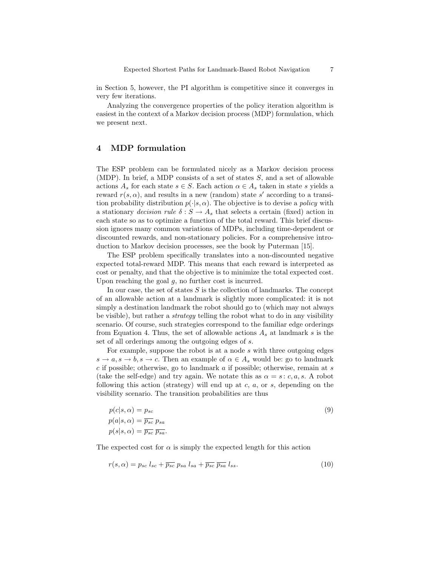in Section 5, however, the PI algorithm is competitive since it converges in very few iterations.

Analyzing the convergence properties of the policy iteration algorithm is easiest in the context of a Markov decision process (MDP) formulation, which we present next.

# **4 MDP formulation**

The ESP problem can be formulated nicely as a Markov decision process (MDP). In brief, a MDP consists of a set of states  $S$ , and a set of allowable actions  $A_s$  for each state  $s \in S$ . Each action  $\alpha \in A_s$  taken in state s yields a reward  $r(s, \alpha)$ , and results in a new (random) state s' according to a transition probability distribution  $p(\cdot|s,\alpha)$ . The objective is to devise a *policy* with a stationary *decision rule*  $\delta : S \to A_s$  that selects a certain (fixed) action in each state so as to optimize a function of the total reward. This brief discussion ignores many common variations of MDPs, including time-dependent or discounted rewards, and non-stationary policies. For a comprehensive introduction to Markov decision processes, see the book by Puterman [15].

The ESP problem specifically translates into a non-discounted negative expected total-reward MDP. This means that each reward is interpreted as cost or penalty, and that the objective is to minimize the total expected cost. Upon reaching the goal  $q$ , no further cost is incurred.

In our case, the set of states  $S$  is the collection of landmarks. The concept of an allowable action at a landmark is slightly more complicated: it is not simply a destination landmark the robot should go to (which may not always be visible), but rather a *strategy* telling the robot what to do in any visibility scenario. Of course, such strategies correspond to the familiar edge orderings from Equation 4. Thus, the set of allowable actions  $A_s$  at landmark s is the set of all orderings among the outgoing edges of s.

For example, suppose the robot is at a node s with three outgoing edges  $s \to a$ ,  $s \to b$ ,  $s \to c$ . Then an example of  $\alpha \in A_s$  would be: go to landmark  $c$  if possible; otherwise, go to landmark  $\alpha$  if possible; otherwise, remain at  $s$ (take the self-edge) and try again. We notate this as  $\alpha = s : c, a, s$ . A robot following this action (strategy) will end up at  $c, a,$  or  $s$ , depending on the visibility scenario. The transition probabilities are thus

$$
p(c|s,\alpha) = p_{sc}
$$
  
\n
$$
p(a|s,\alpha) = \overline{p_{sc}} p_{sa}
$$
  
\n
$$
p(s|s,\alpha) = \overline{p_{sc}} \overline{p_{sa}}.
$$
\n(9)

The expected cost for  $\alpha$  is simply the expected length for this action

$$
r(s,\alpha) = p_{sc} l_{sc} + \overline{p_{sc}} p_{sa} l_{sa} + \overline{p_{sc}} \overline{p_{sa}} l_{ss}.
$$
\n(10)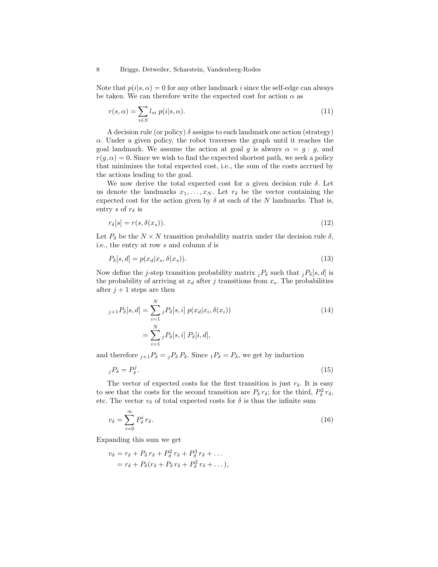Note that  $p(i|s, \alpha) = 0$  for any other landmark i since the self-edge can always be taken. We can therefore write the expected cost for action  $\alpha$  as

$$
r(s,\alpha) = \sum_{i \in S} l_{si} \ p(i|s,\alpha). \tag{11}
$$

A decision rule (or policy)  $\delta$  assigns to each landmark one action (strategy)  $\alpha$ . Under a given policy, the robot traverses the graph until it reaches the goal landmark. We assume the action at goal g is always  $\alpha = g : g$ , and  $r(g, \alpha) = 0$ . Since we wish to find the expected shortest path, we seek a policy that minimizes the total expected cost, i.e., the sum of the costs accrued by the actions leading to the goal.

We now derive the total expected cost for a given decision rule  $\delta$ . Let us denote the landmarks  $x_1, \ldots, x_N$ . Let  $r_\delta$  be the vector containing the expected cost for the action given by  $\delta$  at each of the N landmarks. That is, entry s of  $r_\delta$  is

$$
r_{\delta}[s] = r(s, \delta(x_s)). \tag{12}
$$

Let  $P_\delta$  be the  $N \times N$  transition probability matrix under the decision rule  $\delta$ , i.e., the entry at row s and column d is

$$
P_{\delta}[s, d] = p(x_d | x_s, \delta(x_s)).
$$
\n(13)

Now define the j-step transition probability matrix  ${}_{j}P_{\delta}$  such that  ${}_{j}P_{\delta}[s, d]$  is the probability of arriving at  $x_d$  after j transitions from  $x_s$ . The probabilities after  $j + 1$  steps are then

$$
j_{j+1}P_{\delta}[s,d] = \sum_{i=1}^{N} {}_{j}P_{\delta}[s,i] p(x_{d}|x_{i}, \delta(x_{i}))
$$
  
= 
$$
\sum_{i=1}^{N} {}_{j}P_{\delta}[s,i] P_{\delta}[i,d],
$$
 (14)

and therefore  $_{j+1}P_{\delta} = {}_{j}P_{\delta}P_{\delta}$ . Since  $_{1}P_{\delta} = P_{\delta}$ , we get by induction

$$
{}_{j}P_{\delta} = P_{\delta}^{j}.\tag{15}
$$

The vector of expected costs for the first transition is just  $r_{\delta}$ . It is easy to see that the costs for the second transition are  $P_\delta r_\delta$ ; for the third,  $P_\delta^2 r_\delta$ , etc. The vector  $v_{\delta}$  of total expected costs for  $\delta$  is thus the infinite sum

$$
v_{\delta} = \sum_{i=0}^{\infty} P_{\delta}^{i} r_{\delta}.
$$
\n(16)

Expanding this sum we get

$$
v_{\delta} = r_{\delta} + P_{\delta} r_{\delta} + P_{\delta}^2 r_{\delta} + P_{\delta}^3 r_{\delta} + \dots
$$
  
=  $r_{\delta} + P_{\delta} (r_{\delta} + P_{\delta} r_{\delta} + P_{\delta}^2 r_{\delta} + \dots),$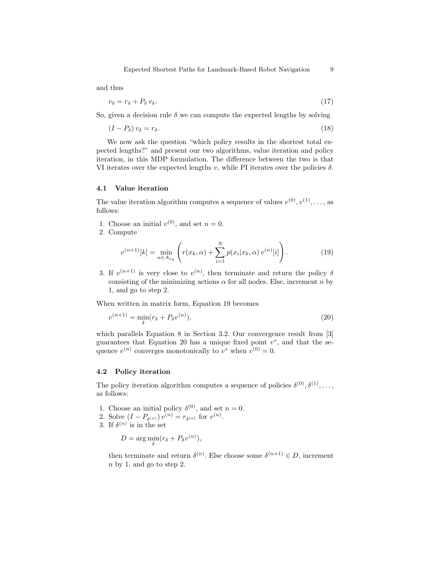and thus

$$
v_{\delta} = r_{\delta} + P_{\delta} v_{\delta}.\tag{17}
$$

So, given a decision rule  $\delta$  we can compute the expected lengths by solving

$$
(I - P_{\delta}) v_{\delta} = r_{\delta}.
$$
\n<sup>(18)</sup>

We now ask the question "which policy results in the shortest total expected lengths?" and present our two algorithms, value iteration and policy iteration, in this MDP formulation. The difference between the two is that VI iterates over the expected lengths v, while PI iterates over the policies  $\delta$ .

### **4.1 Value iteration**

The value iteration algorithm computes a sequence of values  $v^{(0)}, v^{(1)},\ldots$ , as follows:

- 1. Choose an initial  $v^{(0)}$ , and set  $n = 0$ .
- 2. Compute

$$
v^{(n+1)}[k] = \min_{\alpha \in A_{x_k}} \left( r(x_k, \alpha) + \sum_{i=1}^N p(x_i | x_k, \alpha) v^{(n)}[i] \right).
$$
 (19)

3. If  $v^{(n+1)}$  is very close to  $v^{(n)}$ , then terminate and return the policy  $\delta$ consisting of the minimizing actions  $\alpha$  for all nodes. Else, increment n by 1, and go to step 2.

When written in matrix form, Equation 19 becomes

$$
v^{(n+1)} = \min_{\delta}(r_{\delta} + P_{\delta}v^{(n)}),\tag{20}
$$

which parallels Equation 8 in Section 3.2. Our convergence result from [3] guarantees that Equation 20 has a unique fixed point  $v^*$ , and that the sequence  $v^{(n)}$  converges monotonically to  $v^*$  when  $v^{(0)} = 0$ .

# **4.2 Policy iteration**

The policy iteration algorithm computes a sequence of policies  $\delta^{(0)}, \delta^{(1)}, \ldots$ , as follows:

- 1. Choose an initial policy  $\delta^{(0)}$ , and set  $n = 0$ .
- 2. Solve  $(I P_{\delta^{(n)}}) v^{(n)} = r_{\delta^{(n)}}$  for  $v^{(n)}$ .
- 3. If  $\delta^{(n)}$  is in the set

$$
D = \arg\min_{\delta}(r_{\delta} + P_{\delta}v^{(n)}),
$$

then terminate and return  $\delta^{(n)}$ . Else choose some  $\delta^{(n+1)} \in D$ , increment n by 1, and go to step 2.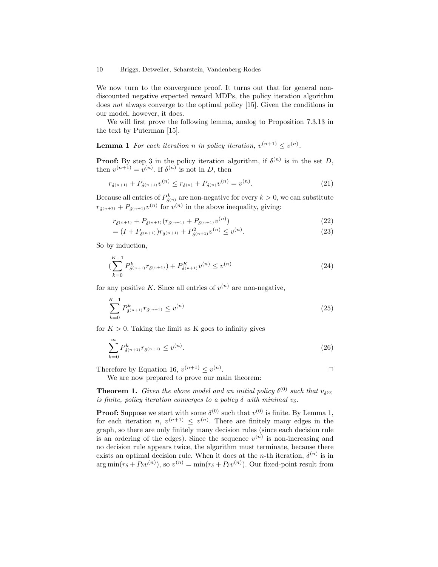We now turn to the convergence proof. It turns out that for general nondiscounted negative expected reward MDPs, the policy iteration algorithm does *not* always converge to the optimal policy [15]. Given the conditions in our model, however, it does.

We will first prove the following lemma, analog to Proposition 7.3.13 in the text by Puterman [15].

**Lemma 1** *For each iteration n in policy iteration,*  $v^{(n+1)} \leq v^{(n)}$ *.* 

**Proof:** By step 3 in the policy iteration algorithm, if  $\delta^{(n)}$  is in the set D, then  $v^{(n+1)} = v^{(n)}$ . If  $\delta^{(n)}$  is not in D, then

$$
r_{\delta^{(n+1)}} + P_{\delta^{(n+1)}} v^{(n)} \le r_{\delta^{(n)}} + P_{\delta^{(n)}} v^{(n)} = v^{(n)}.
$$
\n(21)

Because all entries of  $P^k_{\delta^{(n)}}$  are non-negative for every  $k > 0$ , we can substitute  $r_{\delta^{(n+1)}} + P_{\delta^{(n+1)}} v^{(n)}$  for  $v^{(n)}$  in the above inequality, giving:

$$
r_{\delta^{(n+1)}} + P_{\delta^{(n+1)}}(r_{\delta^{(n+1)}} + P_{\delta^{(n+1)}}v^{(n)})
$$
\n(22)

$$
= (I + P_{\delta^{(n+1)}}) r_{\delta^{(n+1)}} + P_{\delta^{(n+1)}}^2 v^{(n)} \le v^{(n)}.
$$
\n(23)

So by induction,

$$
\left(\sum_{k=0}^{K-1} P^k_{\delta^{(n+1)}} r_{\delta^{(n+1)}}\right) + P^K_{\delta^{(n+1)}} v^{(n)} \le v^{(n)}\tag{24}
$$

for any positive K. Since all entries of  $v^{(n)}$  are non-negative,

$$
\sum_{k=0}^{K-1} P_{\delta^{(n+1)}}^k r_{\delta^{(n+1)}} \le v^{(n)} \tag{25}
$$

for  $K > 0$ . Taking the limit as K goes to infinity gives

$$
\sum_{k=0}^{\infty} P_{\delta^{(n+1)}}^k r_{\delta^{(n+1)}} \le v^{(n)}.\tag{26}
$$

Therefore by Equation 16,  $v^{(n+1)} < v^{(n)}$ . .  $\Box$ 

We are now prepared to prove our main theorem:

**Theorem 1.** *Given the above model and an initial policy*  $\delta^{(0)}$  *such that*  $v_{\delta^{(0)}}$ *is finite, policy iteration converges to a policy*  $\delta$  *with minimal*  $v_{\delta}$ *.* 

**Proof:** Suppose we start with some  $\delta^{(0)}$  such that  $v^{(0)}$  is finite. By Lemma 1, for each iteration n,  $v^{(n+1)} \n\t\leq v^{(n)}$ . There are finitely many edges in the graph, so there are only finitely many decision rules (since each decision rule is an ordering of the edges). Since the sequence  $v^{(n)}$  is non-increasing and no decision rule appears twice, the algorithm must terminate, because there exists an optimal decision rule. When it does at the *n*-th iteration,  $\delta^{(n)}$  is in  $\arg \min(r_\delta + P_\delta v^{(n)})$ , so  $v^{(n)} = \min(r_\delta + P_\delta v^{(n)})$ . Our fixed-point result from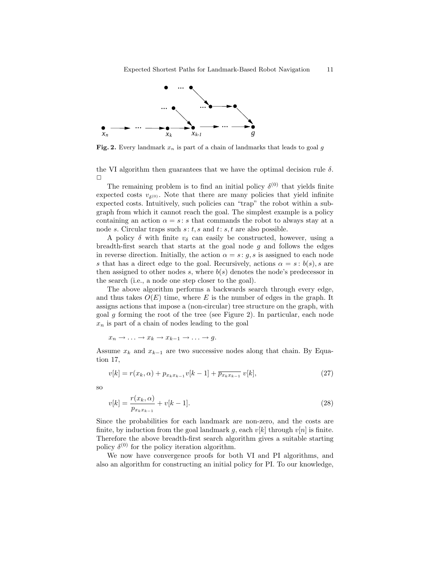

**Fig. 2.** Every landmark  $x_n$  is part of a chain of landmarks that leads to goal  $g$ 

the VI algorithm then guarantees that we have the optimal decision rule  $\delta$ .  $\Box$ 

The remaining problem is to find an initial policy  $\delta^{(0)}$  that yields finite expected costs  $v_{\delta^{(0)}}$ . Note that there are many policies that yield infinite expected costs. Intuitively, such policies can "trap" the robot within a subgraph from which it cannot reach the goal. The simplest example is a policy containing an action  $\alpha = s : s$  that commands the robot to always stay at a node s. Circular traps such  $s: t, s$  and  $t: s, t$  are also possible.

A policy  $\delta$  with finite  $v_{\delta}$  can easily be constructed, however, using a breadth-first search that starts at the goal node  $g$  and follows the edges in reverse direction. Initially, the action  $\alpha = s : q, s$  is assigned to each node s that has a direct edge to the goal. Recursively, actions  $\alpha = s : b(s), s$  are then assigned to other nodes s, where  $b(s)$  denotes the node's predecessor in the search (i.e., a node one step closer to the goal).

The above algorithm performs a backwards search through every edge, and thus takes  $O(E)$  time, where E is the number of edges in the graph. It assigns actions that impose a (non-circular) tree structure on the graph, with goal  $g$  forming the root of the tree (see Figure 2). In particular, each node  $x_n$  is part of a chain of nodes leading to the goal

$$
x_n \to \ldots \to x_k \to x_{k-1} \to \ldots \to g.
$$

Assume  $x_k$  and  $x_{k-1}$  are two successive nodes along that chain. By Equation 17,

$$
v[k] = r(x_k, \alpha) + p_{x_k x_{k-1}} v[k-1] + \overline{p_{x_k x_{k-1}}} v[k],
$$
\n(27)

so

$$
v[k] = \frac{r(x_k, \alpha)}{p_{x_k x_{k-1}}} + v[k-1].
$$
\n(28)

Since the probabilities for each landmark are non-zero, and the costs are finite, by induction from the goal landmark g, each  $v[k]$  through  $v[n]$  is finite. Therefore the above breadth-first search algorithm gives a suitable starting policy  $\delta^{(0)}$  for the policy iteration algorithm.

We now have convergence proofs for both VI and PI algorithms, and also an algorithm for constructing an initial policy for PI. To our knowledge,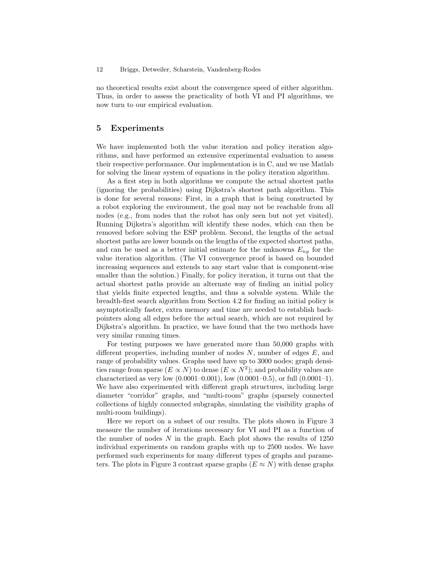no theoretical results exist about the convergence speed of either algorithm. Thus, in order to assess the practicality of both VI and PI algorithms, we now turn to our empirical evaluation.

# **5 Experiments**

We have implemented both the value iteration and policy iteration algorithms, and have performed an extensive experimental evaluation to assess their respective performance. Our implementation is in C, and we use Matlab for solving the linear system of equations in the policy iteration algorithm.

As a first step in both algorithms we compute the actual shortest paths (ignoring the probabilities) using Dijkstra's shortest path algorithm. This is done for several reasons: First, in a graph that is being constructed by a robot exploring the environment, the goal may not be reachable from all nodes (e.g., from nodes that the robot has only seen but not yet visited). Running Dijkstra's algorithm will identify these nodes, which can then be removed before solving the ESP problem. Second, the lengths of the actual shortest paths are lower bounds on the lengths of the expected shortest paths, and can be used as a better initial estimate for the unknowns  $E_{nq}$  for the value iteration algorithm. (The VI convergence proof is based on bounded increasing sequences and extends to any start value that is component-wise smaller than the solution.) Finally, for policy iteration, it turns out that the actual shortest paths provide an alternate way of finding an initial policy that yields finite expected lengths, and thus a solvable system. While the breadth-first search algorithm from Section 4.2 for finding an initial policy is asymptotically faster, extra memory and time are needed to establish backpointers along all edges before the actual search, which are not required by Dijkstra's algorithm. In practice, we have found that the two methods have very similar running times.

For testing purposes we have generated more than 50,000 graphs with different properties, including number of nodes  $N$ , number of edges  $E$ , and range of probability values. Graphs used have up to 3000 nodes; graph densities range from sparse  $(E \propto N)$  to dense  $(E \propto N^2)$ ; and probability values are characterized as very low  $(0.0001-0.001)$ , low  $(0.0001-0.5)$ , or full  $(0.0001-1)$ . We have also experimented with different graph structures, including large diameter "corridor" graphs, and "multi-room" graphs (sparsely connected collections of highly connected subgraphs, simulating the visibility graphs of multi-room buildings).

Here we report on a subset of our results. The plots shown in Figure 3 measure the number of iterations necessary for VI and PI as a function of the number of nodes  $N$  in the graph. Each plot shows the results of 1250 individual experiments on random graphs with up to 2500 nodes. We have performed such experiments for many different types of graphs and parameters. The plots in Figure 3 contrast sparse graphs  $(E \approx N)$  with dense graphs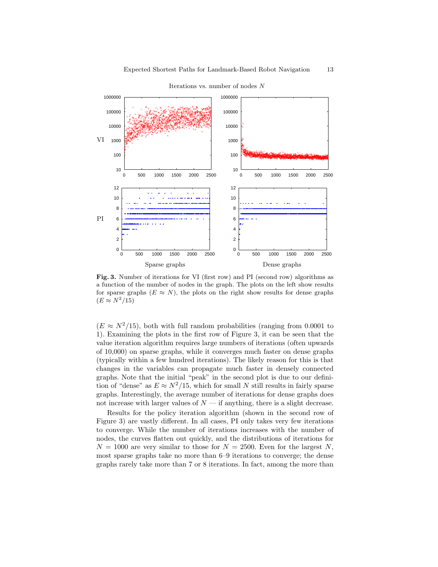

Iterations vs. number of nodes *N*

**Fig. 3.** Number of iterations for VI (first row) and PI (second row) algorithms as a function of the number of nodes in the graph. The plots on the left show results for sparse graphs  $(E \approx N)$ , the plots on the right show results for dense graphs  $(E \approx N^2/15)$ 

 $(E \approx N^2/15)$ , both with full random probabilities (ranging from 0.0001 to 1). Examining the plots in the first row of Figure 3, it can be seen that the value iteration algorithm requires large numbers of iterations (often upwards of 10,000) on sparse graphs, while it converges much faster on dense graphs (typically within a few hundred iterations). The likely reason for this is that changes in the variables can propagate much faster in densely connected graphs. Note that the initial "peak" in the second plot is due to our definition of "dense" as  $E \approx N^2/15$ , which for small N still results in fairly sparse graphs. Interestingly, the average number of iterations for dense graphs does not increase with larger values of  $N$  — if anything, there is a slight decrease.

Results for the policy iteration algorithm (shown in the second row of Figure 3) are vastly different. In all cases, PI only takes very few iterations to converge. While the number of iterations increases with the number of nodes, the curves flatten out quickly, and the distributions of iterations for  $N = 1000$  are very similar to those for  $N = 2500$ . Even for the largest N, most sparse graphs take no more than 6–9 iterations to converge; the dense graphs rarely take more than 7 or 8 iterations. In fact, among the more than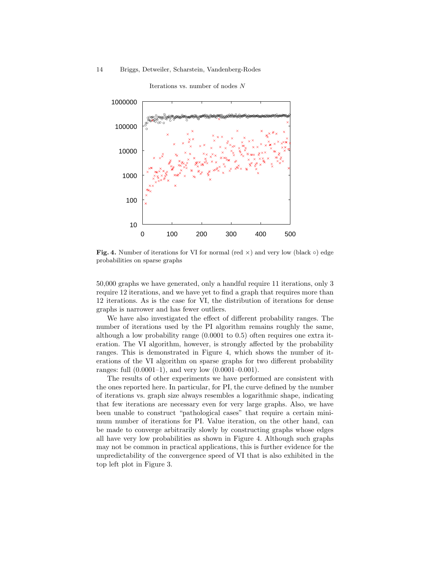

Iterations vs. number of nodes *N*

**Fig. 4.** Number of iterations for VI for normal (red  $\times$ ) and very low (black  $\circ$ ) edge probabilities on sparse graphs

50,000 graphs we have generated, only a handful require 11 iterations, only 3 require 12 iterations, and we have yet to find a graph that requires more than 12 iterations. As is the case for VI, the distribution of iterations for dense graphs is narrower and has fewer outliers.

We have also investigated the effect of different probability ranges. The number of iterations used by the PI algorithm remains roughly the same, although a low probability range (0.0001 to 0.5) often requires one extra iteration. The VI algorithm, however, is strongly affected by the probability ranges. This is demonstrated in Figure 4, which shows the number of iterations of the VI algorithm on sparse graphs for two different probability ranges: full (0.0001–1), and very low (0.0001–0.001).

The results of other experiments we have performed are consistent with the ones reported here. In particular, for PI, the curve defined by the number of iterations vs. graph size always resembles a logarithmic shape, indicating that few iterations are necessary even for very large graphs. Also, we have been unable to construct "pathological cases" that require a certain minimum number of iterations for PI. Value iteration, on the other hand, can be made to converge arbitrarily slowly by constructing graphs whose edges all have very low probabilities as shown in Figure 4. Although such graphs may not be common in practical applications, this is further evidence for the unpredictability of the convergence speed of VI that is also exhibited in the top left plot in Figure 3.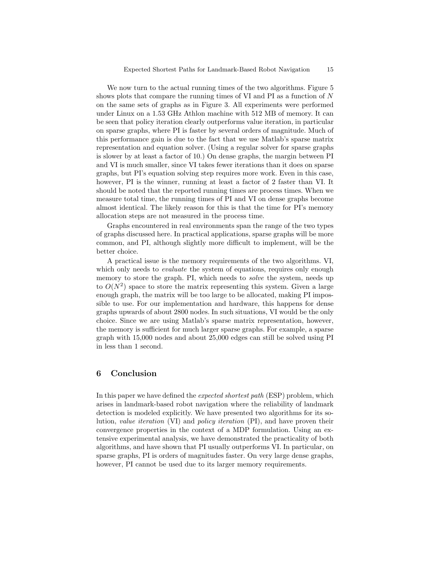We now turn to the actual running times of the two algorithms. Figure 5 shows plots that compare the running times of VI and PI as a function of N on the same sets of graphs as in Figure 3. All experiments were performed under Linux on a 1.53 GHz Athlon machine with 512 MB of memory. It can be seen that policy iteration clearly outperforms value iteration, in particular on sparse graphs, where PI is faster by several orders of magnitude. Much of this performance gain is due to the fact that we use Matlab's sparse matrix representation and equation solver. (Using a regular solver for sparse graphs is slower by at least a factor of 10.) On dense graphs, the margin between PI and VI is much smaller, since VI takes fewer iterations than it does on sparse graphs, but PI's equation solving step requires more work. Even in this case, however, PI is the winner, running at least a factor of 2 faster than VI. It should be noted that the reported running times are process times. When we measure total time, the running times of PI and VI on dense graphs become almost identical. The likely reason for this is that the time for PI's memory allocation steps are not measured in the process time.

Graphs encountered in real environments span the range of the two types of graphs discussed here. In practical applications, sparse graphs will be more common, and PI, although slightly more difficult to implement, will be the better choice.

A practical issue is the memory requirements of the two algorithms. VI, which only needs to *evaluate* the system of equations, requires only enough memory to store the graph. PI, which needs to *solve* the system, needs up to  $O(N^2)$  space to store the matrix representing this system. Given a large enough graph, the matrix will be too large to be allocated, making PI impossible to use. For our implementation and hardware, this happens for dense graphs upwards of about 2800 nodes. In such situations, VI would be the only choice. Since we are using Matlab's sparse matrix representation, however, the memory is sufficient for much larger sparse graphs. For example, a sparse graph with 15,000 nodes and about 25,000 edges can still be solved using PI in less than 1 second.

## **6 Conclusion**

In this paper we have defined the *expected shortest path* (ESP) problem, which arises in landmark-based robot navigation where the reliability of landmark detection is modeled explicitly. We have presented two algorithms for its solution, *value iteration* (VI) and *policy iteration* (PI), and have proven their convergence properties in the context of a MDP formulation. Using an extensive experimental analysis, we have demonstrated the practicality of both algorithms, and have shown that PI usually outperforms VI. In particular, on sparse graphs, PI is orders of magnitudes faster. On very large dense graphs, however, PI cannot be used due to its larger memory requirements.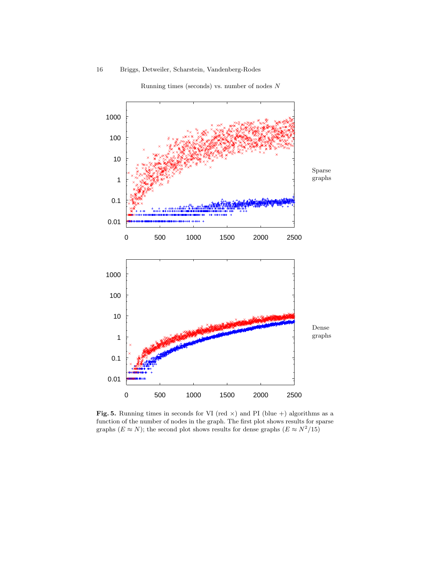

Running times (seconds) vs. number of nodes *N*

**Fig. 5.** Running times in seconds for VI (red  $\times$ ) and PI (blue +) algorithms as a function of the number of nodes in the graph. The first plot shows results for sparse graphs  $(E \approx N)$ ; the second plot shows results for dense graphs  $(E \approx N^2/15)$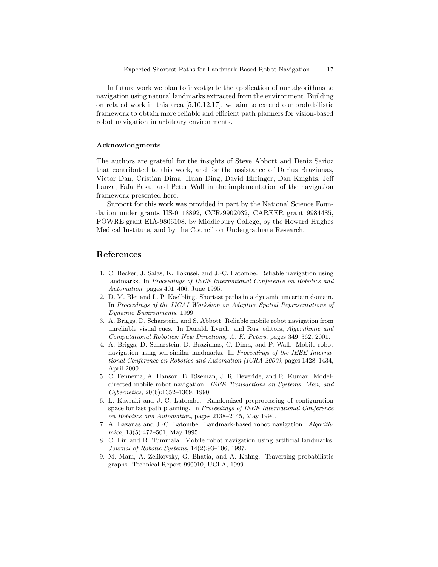In future work we plan to investigate the application of our algorithms to navigation using natural landmarks extracted from the environment. Building on related work in this area [5,10,12,17], we aim to extend our probabilistic framework to obtain more reliable and efficient path planners for vision-based robot navigation in arbitrary environments.

### **Acknowledgments**

The authors are grateful for the insights of Steve Abbott and Deniz Sarioz that contributed to this work, and for the assistance of Darius Braziunas, Victor Dan, Cristian Dima, Huan Ding, David Ehringer, Dan Knights, Jeff Lanza, Fafa Paku, and Peter Wall in the implementation of the navigation framework presented here.

Support for this work was provided in part by the National Science Foundation under grants IIS-0118892, CCR-9902032, CAREER grant 9984485, POWRE grant EIA-9806108, by Middlebury College, by the Howard Hughes Medical Institute, and by the Council on Undergraduate Research.

### **References**

- 1. C. Becker, J. Salas, K. Tokusei, and J.-C. Latombe. Reliable navigation using landmarks. In *Proceedings of IEEE International Conference on Robotics and Automation*, pages 401–406, June 1995.
- 2. D. M. Blei and L. P. Kaelbling. Shortest paths in a dynamic uncertain domain. In *Proceedings of the IJCAI Workshop on Adaptive Spatial Representations of Dynamic Environments*, 1999.
- 3. A. Briggs, D. Scharstein, and S. Abbott. Reliable mobile robot navigation from unreliable visual cues. In Donald, Lynch, and Rus, editors, *Algorithmic and Computational Robotics: New Directions, A. K. Peters*, pages 349–362, 2001.
- 4. A. Briggs, D. Scharstein, D. Braziunas, C. Dima, and P. Wall. Mobile robot navigation using self-similar landmarks. In *Proceedings of the IEEE International Conference on Robotics and Automation (ICRA 2000)*, pages 1428–1434, April 2000.
- 5. C. Fennema, A. Hanson, E. Riseman, J. R. Beveride, and R. Kumar. Modeldirected mobile robot navigation. *IEEE Transactions on Systems, Man, and Cybernetics*, 20(6):1352–1369, 1990.
- 6. L. Kavraki and J.-C. Latombe. Randomized preprocessing of configuration space for fast path planning. In *Proceedings of IEEE International Conference on Robotics and Automation*, pages 2138–2145, May 1994.
- 7. A. Lazanas and J.-C. Latombe. Landmark-based robot navigation. *Algorithmica*, 13(5):472–501, May 1995.
- 8. C. Lin and R. Tummala. Mobile robot navigation using artificial landmarks. *Journal of Robotic Systems*, 14(2):93–106, 1997.
- 9. M. Mani, A. Zelikovsky, G. Bhatia, and A. Kahng. Traversing probabilistic graphs. Technical Report 990010, UCLA, 1999.